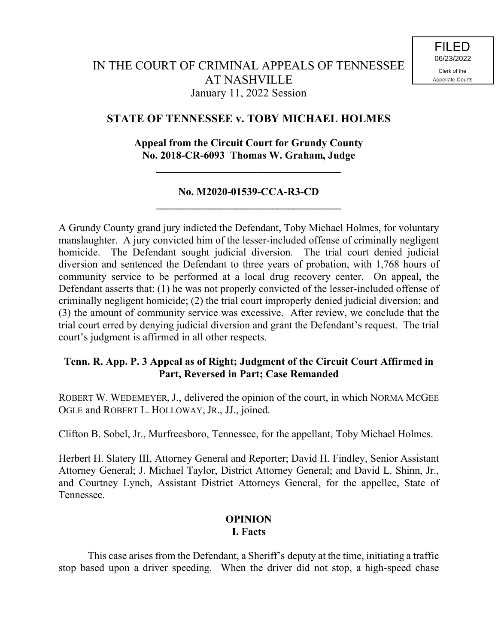# **STATE OF TENNESSEE v. TOBY MICHAEL HOLMES**

# **Appeal from the Circuit Court for Grundy County No. 2018-CR-6093 Thomas W. Graham, Judge**

**\_\_\_\_\_\_\_\_\_\_\_\_\_\_\_\_\_\_\_\_\_\_\_\_\_\_\_\_\_\_\_\_\_\_\_**

## **No. M2020-01539-CCA-R3-CD \_\_\_\_\_\_\_\_\_\_\_\_\_\_\_\_\_\_\_\_\_\_\_\_\_\_\_\_\_\_\_\_\_\_\_**

A Grundy County grand jury indicted the Defendant, Toby Michael Holmes, for voluntary manslaughter. A jury convicted him of the lesser-included offense of criminally negligent homicide. The Defendant sought judicial diversion. The trial court denied judicial diversion and sentenced the Defendant to three years of probation, with 1,768 hours of community service to be performed at a local drug recovery center. On appeal, the Defendant asserts that: (1) he was not properly convicted of the lesser-included offense of criminally negligent homicide; (2) the trial court improperly denied judicial diversion; and (3) the amount of community service was excessive. After review, we conclude that the trial court erred by denying judicial diversion and grant the Defendant's request. The trial court's judgment is affirmed in all other respects.

# **Tenn. R. App. P. 3 Appeal as of Right; Judgment of the Circuit Court Affirmed in Part, Reversed in Part; Case Remanded**

ROBERT W. WEDEMEYER, J., delivered the opinion of the court, in which NORMA MCGEE OGLE and ROBERT L. HOLLOWAY, JR., JJ., joined.

Clifton B. Sobel, Jr., Murfreesboro, Tennessee, for the appellant, Toby Michael Holmes.

Herbert H. Slatery III, Attorney General and Reporter; David H. Findley, Senior Assistant Attorney General; J. Michael Taylor, District Attorney General; and David L. Shinn, Jr., and Courtney Lynch, Assistant District Attorneys General, for the appellee, State of Tennessee.

### **OPINION I. Facts**

This case arises from the Defendant, a Sheriff's deputy at the time, initiating a traffic stop based upon a driver speeding. When the driver did not stop, a high-speed chase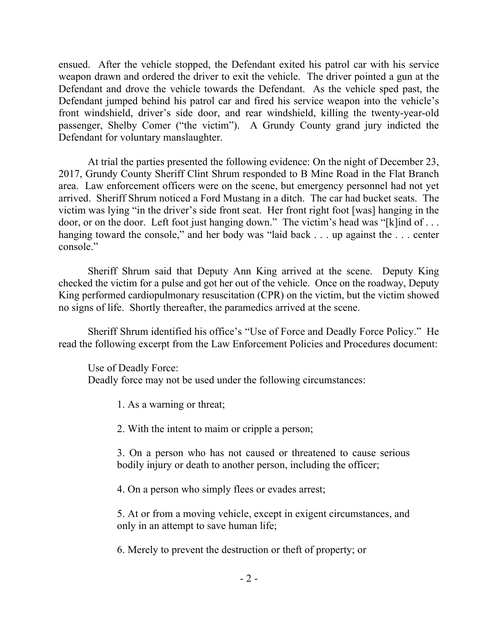ensued. After the vehicle stopped, the Defendant exited his patrol car with his service weapon drawn and ordered the driver to exit the vehicle. The driver pointed a gun at the Defendant and drove the vehicle towards the Defendant. As the vehicle sped past, the Defendant jumped behind his patrol car and fired his service weapon into the vehicle's front windshield, driver's side door, and rear windshield, killing the twenty-year-old passenger, Shelby Comer ("the victim"). A Grundy County grand jury indicted the Defendant for voluntary manslaughter.

At trial the parties presented the following evidence: On the night of December 23, 2017, Grundy County Sheriff Clint Shrum responded to B Mine Road in the Flat Branch area. Law enforcement officers were on the scene, but emergency personnel had not yet arrived. Sheriff Shrum noticed a Ford Mustang in a ditch. The car had bucket seats. The victim was lying "in the driver's side front seat. Her front right foot [was] hanging in the door, or on the door. Left foot just hanging down." The victim's head was "[k]ind of . . . hanging toward the console," and her body was "laid back . . . up against the . . . center console."

Sheriff Shrum said that Deputy Ann King arrived at the scene. Deputy King checked the victim for a pulse and got her out of the vehicle. Once on the roadway, Deputy King performed cardiopulmonary resuscitation (CPR) on the victim, but the victim showed no signs of life. Shortly thereafter, the paramedics arrived at the scene.

Sheriff Shrum identified his office's "Use of Force and Deadly Force Policy." He read the following excerpt from the Law Enforcement Policies and Procedures document:

Use of Deadly Force: Deadly force may not be used under the following circumstances:

1. As a warning or threat;

2. With the intent to maim or cripple a person;

3. On a person who has not caused or threatened to cause serious bodily injury or death to another person, including the officer;

4. On a person who simply flees or evades arrest;

5. At or from a moving vehicle, except in exigent circumstances, and only in an attempt to save human life;

6. Merely to prevent the destruction or theft of property; or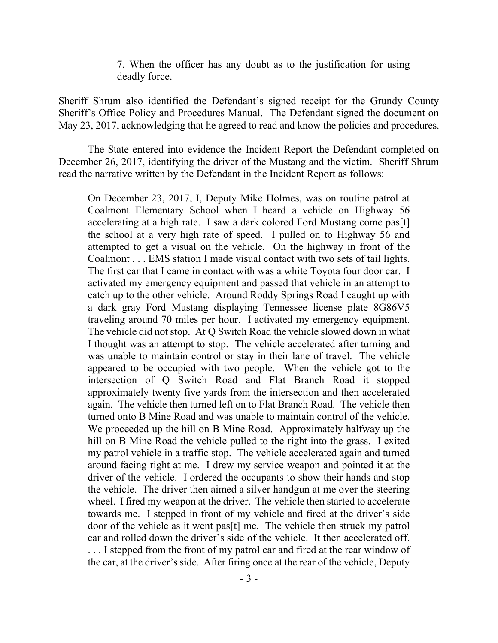7. When the officer has any doubt as to the justification for using deadly force.

Sheriff Shrum also identified the Defendant's signed receipt for the Grundy County Sheriff's Office Policy and Procedures Manual. The Defendant signed the document on May 23, 2017, acknowledging that he agreed to read and know the policies and procedures.

The State entered into evidence the Incident Report the Defendant completed on December 26, 2017, identifying the driver of the Mustang and the victim. Sheriff Shrum read the narrative written by the Defendant in the Incident Report as follows:

On December 23, 2017, I, Deputy Mike Holmes, was on routine patrol at Coalmont Elementary School when I heard a vehicle on Highway 56 accelerating at a high rate. I saw a dark colored Ford Mustang come pas[t] the school at a very high rate of speed. I pulled on to Highway 56 and attempted to get a visual on the vehicle. On the highway in front of the Coalmont . . . EMS station I made visual contact with two sets of tail lights. The first car that I came in contact with was a white Toyota four door car. I activated my emergency equipment and passed that vehicle in an attempt to catch up to the other vehicle. Around Roddy Springs Road I caught up with a dark gray Ford Mustang displaying Tennessee license plate 8G86V5 traveling around 70 miles per hour. I activated my emergency equipment. The vehicle did not stop. At Q Switch Road the vehicle slowed down in what I thought was an attempt to stop. The vehicle accelerated after turning and was unable to maintain control or stay in their lane of travel. The vehicle appeared to be occupied with two people. When the vehicle got to the intersection of Q Switch Road and Flat Branch Road it stopped approximately twenty five yards from the intersection and then accelerated again. The vehicle then turned left on to Flat Branch Road. The vehicle then turned onto B Mine Road and was unable to maintain control of the vehicle. We proceeded up the hill on B Mine Road. Approximately halfway up the hill on B Mine Road the vehicle pulled to the right into the grass. I exited my patrol vehicle in a traffic stop. The vehicle accelerated again and turned around facing right at me. I drew my service weapon and pointed it at the driver of the vehicle. I ordered the occupants to show their hands and stop the vehicle. The driver then aimed a silver handgun at me over the steering wheel. I fired my weapon at the driver. The vehicle then started to accelerate towards me. I stepped in front of my vehicle and fired at the driver's side door of the vehicle as it went pas[t] me. The vehicle then struck my patrol car and rolled down the driver's side of the vehicle. It then accelerated off. ... I stepped from the front of my patrol car and fired at the rear window of the car, at the driver's side. After firing once at the rear of the vehicle, Deputy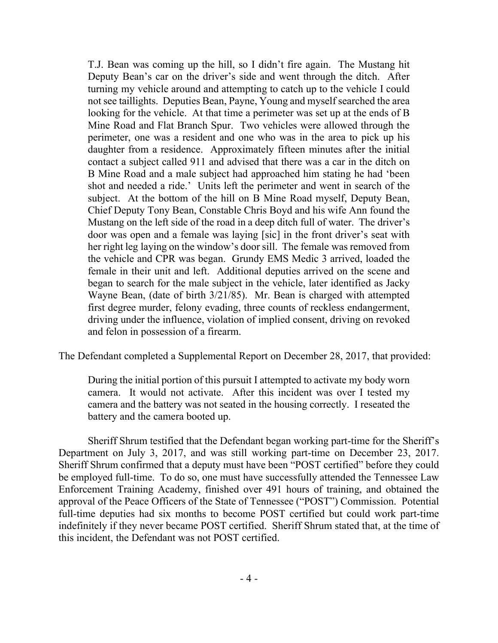T.J. Bean was coming up the hill, so I didn't fire again. The Mustang hit Deputy Bean's car on the driver's side and went through the ditch. After turning my vehicle around and attempting to catch up to the vehicle I could not see taillights. Deputies Bean, Payne, Young and myself searched the area looking for the vehicle. At that time a perimeter was set up at the ends of B Mine Road and Flat Branch Spur. Two vehicles were allowed through the perimeter, one was a resident and one who was in the area to pick up his daughter from a residence. Approximately fifteen minutes after the initial contact a subject called 911 and advised that there was a car in the ditch on B Mine Road and a male subject had approached him stating he had 'been shot and needed a ride.' Units left the perimeter and went in search of the subject. At the bottom of the hill on B Mine Road myself, Deputy Bean, Chief Deputy Tony Bean, Constable Chris Boyd and his wife Ann found the Mustang on the left side of the road in a deep ditch full of water. The driver's door was open and a female was laying [sic] in the front driver's seat with her right leg laying on the window's door sill. The female was removed from the vehicle and CPR was began. Grundy EMS Medic 3 arrived, loaded the female in their unit and left. Additional deputies arrived on the scene and began to search for the male subject in the vehicle, later identified as Jacky Wayne Bean, (date of birth 3/21/85). Mr. Bean is charged with attempted first degree murder, felony evading, three counts of reckless endangerment, driving under the influence, violation of implied consent, driving on revoked and felon in possession of a firearm.

The Defendant completed a Supplemental Report on December 28, 2017, that provided:

During the initial portion of this pursuit I attempted to activate my body worn camera. It would not activate. After this incident was over I tested my camera and the battery was not seated in the housing correctly. I reseated the battery and the camera booted up.

Sheriff Shrum testified that the Defendant began working part-time for the Sheriff's Department on July 3, 2017, and was still working part-time on December 23, 2017. Sheriff Shrum confirmed that a deputy must have been "POST certified" before they could be employed full-time. To do so, one must have successfully attended the Tennessee Law Enforcement Training Academy, finished over 491 hours of training, and obtained the approval of the Peace Officers of the State of Tennessee ("POST") Commission. Potential full-time deputies had six months to become POST certified but could work part-time indefinitely if they never became POST certified. Sheriff Shrum stated that, at the time of this incident, the Defendant was not POST certified.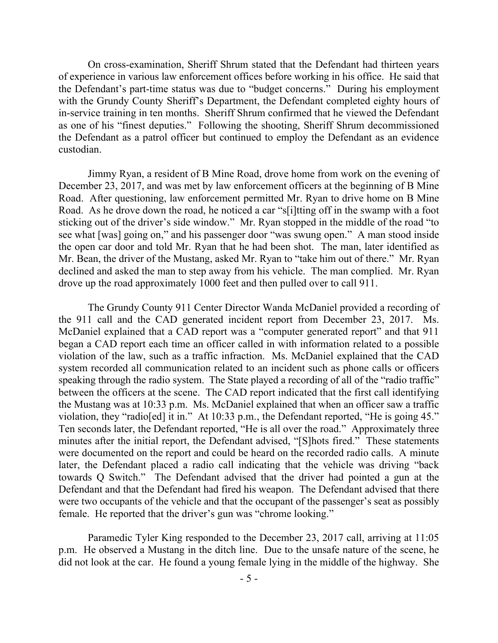On cross-examination, Sheriff Shrum stated that the Defendant had thirteen years of experience in various law enforcement offices before working in his office. He said that the Defendant's part-time status was due to "budget concerns." During his employment with the Grundy County Sheriff's Department, the Defendant completed eighty hours of in-service training in ten months. Sheriff Shrum confirmed that he viewed the Defendant as one of his "finest deputies." Following the shooting, Sheriff Shrum decommissioned the Defendant as a patrol officer but continued to employ the Defendant as an evidence custodian.

Jimmy Ryan, a resident of B Mine Road, drove home from work on the evening of December 23, 2017, and was met by law enforcement officers at the beginning of B Mine Road. After questioning, law enforcement permitted Mr. Ryan to drive home on B Mine Road. As he drove down the road, he noticed a car "s[i]tting off in the swamp with a foot sticking out of the driver's side window." Mr. Ryan stopped in the middle of the road "to see what [was] going on," and his passenger door "was swung open." A man stood inside the open car door and told Mr. Ryan that he had been shot. The man, later identified as Mr. Bean, the driver of the Mustang, asked Mr. Ryan to "take him out of there." Mr. Ryan declined and asked the man to step away from his vehicle. The man complied. Mr. Ryan drove up the road approximately 1000 feet and then pulled over to call 911.

The Grundy County 911 Center Director Wanda McDaniel provided a recording of the 911 call and the CAD generated incident report from December 23, 2017. Ms. McDaniel explained that a CAD report was a "computer generated report" and that 911 began a CAD report each time an officer called in with information related to a possible violation of the law, such as a traffic infraction. Ms. McDaniel explained that the CAD system recorded all communication related to an incident such as phone calls or officers speaking through the radio system. The State played a recording of all of the "radio traffic" between the officers at the scene. The CAD report indicated that the first call identifying the Mustang was at 10:33 p.m. Ms. McDaniel explained that when an officer saw a traffic violation, they "radio[ed] it in." At 10:33 p.m., the Defendant reported, "He is going 45." Ten seconds later, the Defendant reported, "He is all over the road." Approximately three minutes after the initial report, the Defendant advised, "[S]hots fired." These statements were documented on the report and could be heard on the recorded radio calls. A minute later, the Defendant placed a radio call indicating that the vehicle was driving "back towards Q Switch." The Defendant advised that the driver had pointed a gun at the Defendant and that the Defendant had fired his weapon. The Defendant advised that there were two occupants of the vehicle and that the occupant of the passenger's seat as possibly female. He reported that the driver's gun was "chrome looking."

Paramedic Tyler King responded to the December 23, 2017 call, arriving at 11:05 p.m. He observed a Mustang in the ditch line. Due to the unsafe nature of the scene, he did not look at the car. He found a young female lying in the middle of the highway. She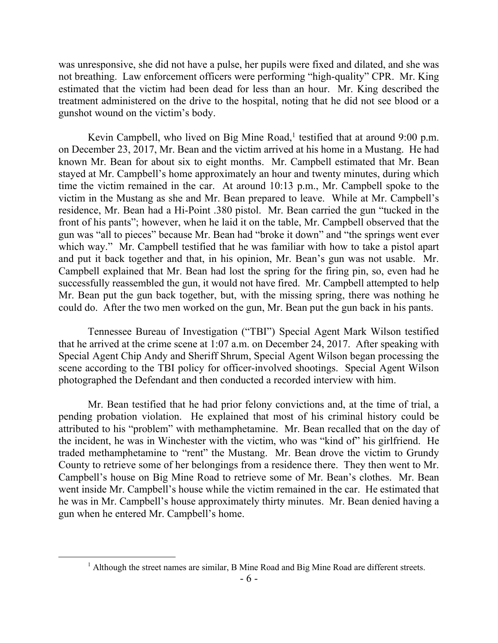was unresponsive, she did not have a pulse, her pupils were fixed and dilated, and she was not breathing. Law enforcement officers were performing "high-quality" CPR. Mr. King estimated that the victim had been dead for less than an hour. Mr. King described the treatment administered on the drive to the hospital, noting that he did not see blood or a gunshot wound on the victim's body.

Kevin Campbell, who lived on Big Mine Road,<sup>1</sup> testified that at around 9:00 p.m. on December 23, 2017, Mr. Bean and the victim arrived at his home in a Mustang. He had known Mr. Bean for about six to eight months. Mr. Campbell estimated that Mr. Bean stayed at Mr. Campbell's home approximately an hour and twenty minutes, during which time the victim remained in the car. At around 10:13 p.m., Mr. Campbell spoke to the victim in the Mustang as she and Mr. Bean prepared to leave. While at Mr. Campbell's residence, Mr. Bean had a Hi-Point .380 pistol. Mr. Bean carried the gun "tucked in the front of his pants"; however, when he laid it on the table, Mr. Campbell observed that the gun was "all to pieces" because Mr. Bean had "broke it down" and "the springs went ever which way." Mr. Campbell testified that he was familiar with how to take a pistol apart and put it back together and that, in his opinion, Mr. Bean's gun was not usable. Mr. Campbell explained that Mr. Bean had lost the spring for the firing pin, so, even had he successfully reassembled the gun, it would not have fired. Mr. Campbell attempted to help Mr. Bean put the gun back together, but, with the missing spring, there was nothing he could do. After the two men worked on the gun, Mr. Bean put the gun back in his pants.

Tennessee Bureau of Investigation ("TBI") Special Agent Mark Wilson testified that he arrived at the crime scene at 1:07 a.m. on December 24, 2017. After speaking with Special Agent Chip Andy and Sheriff Shrum, Special Agent Wilson began processing the scene according to the TBI policy for officer-involved shootings. Special Agent Wilson photographed the Defendant and then conducted a recorded interview with him.

Mr. Bean testified that he had prior felony convictions and, at the time of trial, a pending probation violation. He explained that most of his criminal history could be attributed to his "problem" with methamphetamine. Mr. Bean recalled that on the day of the incident, he was in Winchester with the victim, who was "kind of" his girlfriend. He traded methamphetamine to "rent" the Mustang. Mr. Bean drove the victim to Grundy County to retrieve some of her belongings from a residence there. They then went to Mr. Campbell's house on Big Mine Road to retrieve some of Mr. Bean's clothes. Mr. Bean went inside Mr. Campbell's house while the victim remained in the car. He estimated that he was in Mr. Campbell's house approximately thirty minutes. Mr. Bean denied having a gun when he entered Mr. Campbell's home.

<sup>&</sup>lt;sup>1</sup> Although the street names are similar, B Mine Road and Big Mine Road are different streets.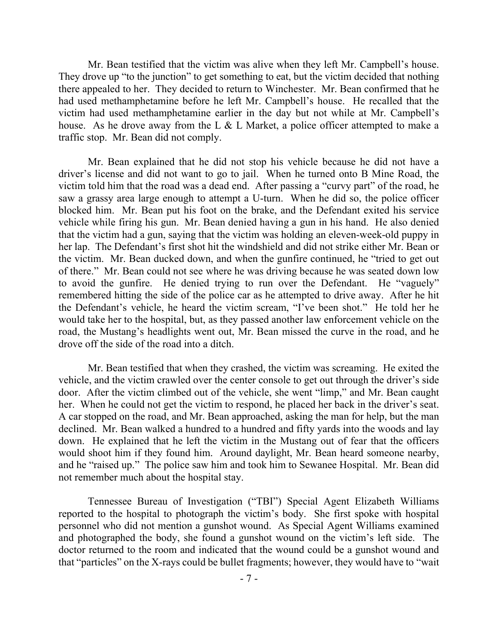Mr. Bean testified that the victim was alive when they left Mr. Campbell's house. They drove up "to the junction" to get something to eat, but the victim decided that nothing there appealed to her. They decided to return to Winchester. Mr. Bean confirmed that he had used methamphetamine before he left Mr. Campbell's house. He recalled that the victim had used methamphetamine earlier in the day but not while at Mr. Campbell's house. As he drove away from the L & L Market, a police officer attempted to make a traffic stop. Mr. Bean did not comply.

Mr. Bean explained that he did not stop his vehicle because he did not have a driver's license and did not want to go to jail. When he turned onto B Mine Road, the victim told him that the road was a dead end. After passing a "curvy part" of the road, he saw a grassy area large enough to attempt a U-turn. When he did so, the police officer blocked him. Mr. Bean put his foot on the brake, and the Defendant exited his service vehicle while firing his gun. Mr. Bean denied having a gun in his hand. He also denied that the victim had a gun, saying that the victim was holding an eleven-week-old puppy in her lap. The Defendant's first shot hit the windshield and did not strike either Mr. Bean or the victim. Mr. Bean ducked down, and when the gunfire continued, he "tried to get out of there." Mr. Bean could not see where he was driving because he was seated down low to avoid the gunfire. He denied trying to run over the Defendant. He "vaguely" remembered hitting the side of the police car as he attempted to drive away. After he hit the Defendant's vehicle, he heard the victim scream, "I've been shot." He told her he would take her to the hospital, but, as they passed another law enforcement vehicle on the road, the Mustang's headlights went out, Mr. Bean missed the curve in the road, and he drove off the side of the road into a ditch.

Mr. Bean testified that when they crashed, the victim was screaming. He exited the vehicle, and the victim crawled over the center console to get out through the driver's side door. After the victim climbed out of the vehicle, she went "limp," and Mr. Bean caught her. When he could not get the victim to respond, he placed her back in the driver's seat. A car stopped on the road, and Mr. Bean approached, asking the man for help, but the man declined. Mr. Bean walked a hundred to a hundred and fifty yards into the woods and lay down. He explained that he left the victim in the Mustang out of fear that the officers would shoot him if they found him. Around daylight, Mr. Bean heard someone nearby, and he "raised up." The police saw him and took him to Sewanee Hospital. Mr. Bean did not remember much about the hospital stay.

Tennessee Bureau of Investigation ("TBI") Special Agent Elizabeth Williams reported to the hospital to photograph the victim's body. She first spoke with hospital personnel who did not mention a gunshot wound. As Special Agent Williams examined and photographed the body, she found a gunshot wound on the victim's left side. The doctor returned to the room and indicated that the wound could be a gunshot wound and that "particles" on the X-rays could be bullet fragments; however, they would have to "wait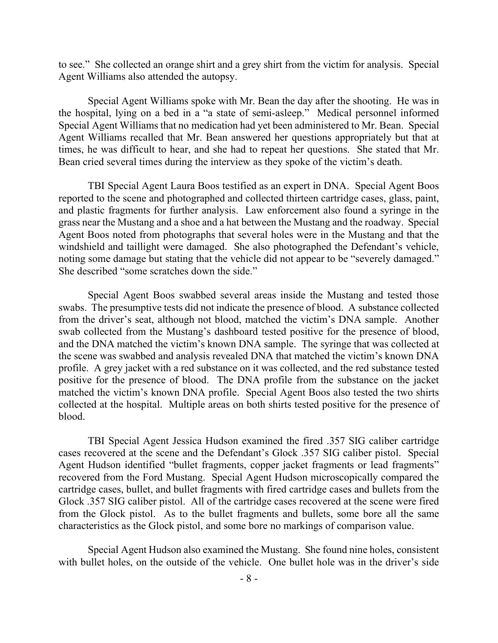to see." She collected an orange shirt and a grey shirt from the victim for analysis. Special Agent Williams also attended the autopsy.

Special Agent Williams spoke with Mr. Bean the day after the shooting. He was in the hospital, lying on a bed in a "a state of semi-asleep." Medical personnel informed Special Agent Williams that no medication had yet been administered to Mr. Bean. Special Agent Williams recalled that Mr. Bean answered her questions appropriately but that at times, he was difficult to hear, and she had to repeat her questions. She stated that Mr. Bean cried several times during the interview as they spoke of the victim's death.

TBI Special Agent Laura Boos testified as an expert in DNA. Special Agent Boos reported to the scene and photographed and collected thirteen cartridge cases, glass, paint, and plastic fragments for further analysis. Law enforcement also found a syringe in the grass near the Mustang and a shoe and a hat between the Mustang and the roadway. Special Agent Boos noted from photographs that several holes were in the Mustang and that the windshield and taillight were damaged. She also photographed the Defendant's vehicle, noting some damage but stating that the vehicle did not appear to be "severely damaged." She described "some scratches down the side."

Special Agent Boos swabbed several areas inside the Mustang and tested those swabs. The presumptive tests did not indicate the presence of blood. A substance collected from the driver's seat, although not blood, matched the victim's DNA sample. Another swab collected from the Mustang's dashboard tested positive for the presence of blood, and the DNA matched the victim's known DNA sample. The syringe that was collected at the scene was swabbed and analysis revealed DNA that matched the victim's known DNA profile. A grey jacket with a red substance on it was collected, and the red substance tested positive for the presence of blood. The DNA profile from the substance on the jacket matched the victim's known DNA profile. Special Agent Boos also tested the two shirts collected at the hospital. Multiple areas on both shirts tested positive for the presence of blood.

TBI Special Agent Jessica Hudson examined the fired .357 SIG caliber cartridge cases recovered at the scene and the Defendant's Glock .357 SIG caliber pistol. Special Agent Hudson identified "bullet fragments, copper jacket fragments or lead fragments" recovered from the Ford Mustang. Special Agent Hudson microscopically compared the cartridge cases, bullet, and bullet fragments with fired cartridge cases and bullets from the Glock .357 SIG caliber pistol. All of the cartridge cases recovered at the scene were fired from the Glock pistol. As to the bullet fragments and bullets, some bore all the same characteristics as the Glock pistol, and some bore no markings of comparison value.

Special Agent Hudson also examined the Mustang. She found nine holes, consistent with bullet holes, on the outside of the vehicle. One bullet hole was in the driver's side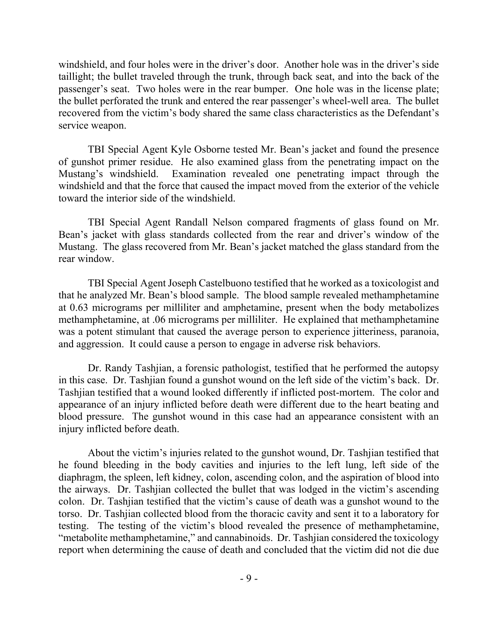windshield, and four holes were in the driver's door. Another hole was in the driver's side taillight; the bullet traveled through the trunk, through back seat, and into the back of the passenger's seat. Two holes were in the rear bumper. One hole was in the license plate; the bullet perforated the trunk and entered the rear passenger's wheel-well area. The bullet recovered from the victim's body shared the same class characteristics as the Defendant's service weapon.

TBI Special Agent Kyle Osborne tested Mr. Bean's jacket and found the presence of gunshot primer residue. He also examined glass from the penetrating impact on the Mustang's windshield. Examination revealed one penetrating impact through the windshield and that the force that caused the impact moved from the exterior of the vehicle toward the interior side of the windshield.

TBI Special Agent Randall Nelson compared fragments of glass found on Mr. Bean's jacket with glass standards collected from the rear and driver's window of the Mustang. The glass recovered from Mr. Bean's jacket matched the glass standard from the rear window.

TBI Special Agent Joseph Castelbuono testified that he worked as a toxicologist and that he analyzed Mr. Bean's blood sample. The blood sample revealed methamphetamine at 0.63 micrograms per milliliter and amphetamine, present when the body metabolizes methamphetamine, at .06 micrograms per milliliter. He explained that methamphetamine was a potent stimulant that caused the average person to experience jitteriness, paranoia, and aggression. It could cause a person to engage in adverse risk behaviors.

Dr. Randy Tashjian, a forensic pathologist, testified that he performed the autopsy in this case. Dr. Tashjian found a gunshot wound on the left side of the victim's back. Dr. Tashjian testified that a wound looked differently if inflicted post-mortem. The color and appearance of an injury inflicted before death were different due to the heart beating and blood pressure. The gunshot wound in this case had an appearance consistent with an injury inflicted before death.

About the victim's injuries related to the gunshot wound, Dr. Tashjian testified that he found bleeding in the body cavities and injuries to the left lung, left side of the diaphragm, the spleen, left kidney, colon, ascending colon, and the aspiration of blood into the airways. Dr. Tashjian collected the bullet that was lodged in the victim's ascending colon. Dr. Tashjian testified that the victim's cause of death was a gunshot wound to the torso. Dr. Tashjian collected blood from the thoracic cavity and sent it to a laboratory for testing. The testing of the victim's blood revealed the presence of methamphetamine, "metabolite methamphetamine," and cannabinoids. Dr. Tashjian considered the toxicology report when determining the cause of death and concluded that the victim did not die due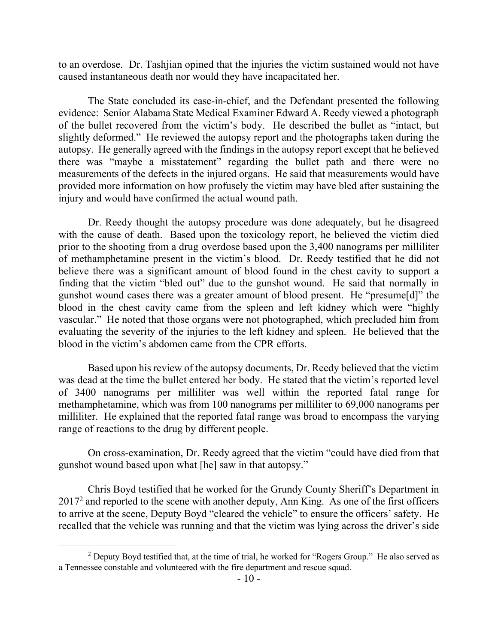to an overdose. Dr. Tashjian opined that the injuries the victim sustained would not have caused instantaneous death nor would they have incapacitated her.

The State concluded its case-in-chief, and the Defendant presented the following evidence: Senior Alabama State Medical Examiner Edward A. Reedy viewed a photograph of the bullet recovered from the victim's body. He described the bullet as "intact, but slightly deformed." He reviewed the autopsy report and the photographs taken during the autopsy. He generally agreed with the findings in the autopsy report except that he believed there was "maybe a misstatement" regarding the bullet path and there were no measurements of the defects in the injured organs. He said that measurements would have provided more information on how profusely the victim may have bled after sustaining the injury and would have confirmed the actual wound path.

Dr. Reedy thought the autopsy procedure was done adequately, but he disagreed with the cause of death. Based upon the toxicology report, he believed the victim died prior to the shooting from a drug overdose based upon the 3,400 nanograms per milliliter of methamphetamine present in the victim's blood. Dr. Reedy testified that he did not believe there was a significant amount of blood found in the chest cavity to support a finding that the victim "bled out" due to the gunshot wound. He said that normally in gunshot wound cases there was a greater amount of blood present. He "presume[d]" the blood in the chest cavity came from the spleen and left kidney which were "highly vascular." He noted that those organs were not photographed, which precluded him from evaluating the severity of the injuries to the left kidney and spleen. He believed that the blood in the victim's abdomen came from the CPR efforts.

Based upon his review of the autopsy documents, Dr. Reedy believed that the victim was dead at the time the bullet entered her body. He stated that the victim's reported level of 3400 nanograms per milliliter was well within the reported fatal range for methamphetamine, which was from 100 nanograms per milliliter to 69,000 nanograms per milliliter. He explained that the reported fatal range was broad to encompass the varying range of reactions to the drug by different people.

On cross-examination, Dr. Reedy agreed that the victim "could have died from that gunshot wound based upon what [he] saw in that autopsy."

Chris Boyd testified that he worked for the Grundy County Sheriff's Department in 2017<sup>2</sup> and reported to the scene with another deputy, Ann King. As one of the first officers to arrive at the scene, Deputy Boyd "cleared the vehicle" to ensure the officers' safety. He recalled that the vehicle was running and that the victim was lying across the driver's side

 $2$  Deputy Boyd testified that, at the time of trial, he worked for "Rogers Group." He also served as a Tennessee constable and volunteered with the fire department and rescue squad.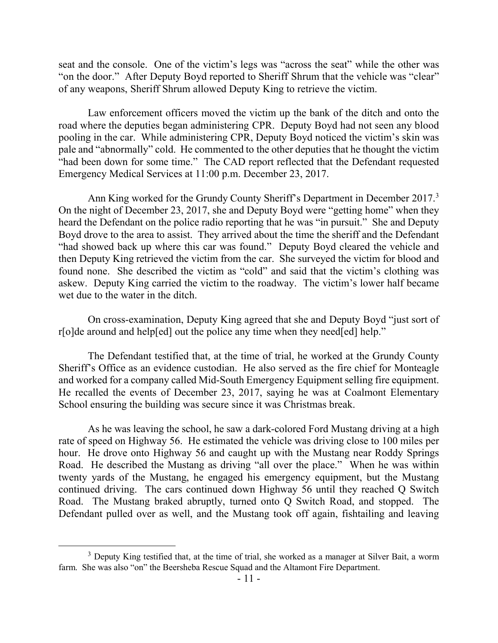seat and the console. One of the victim's legs was "across the seat" while the other was "on the door." After Deputy Boyd reported to Sheriff Shrum that the vehicle was "clear" of any weapons, Sheriff Shrum allowed Deputy King to retrieve the victim.

Law enforcement officers moved the victim up the bank of the ditch and onto the road where the deputies began administering CPR. Deputy Boyd had not seen any blood pooling in the car. While administering CPR, Deputy Boyd noticed the victim's skin was pale and "abnormally" cold. He commented to the other deputies that he thought the victim "had been down for some time." The CAD report reflected that the Defendant requested Emergency Medical Services at 11:00 p.m. December 23, 2017.

Ann King worked for the Grundy County Sheriff's Department in December 2017.<sup>3</sup> On the night of December 23, 2017, she and Deputy Boyd were "getting home" when they heard the Defendant on the police radio reporting that he was "in pursuit." She and Deputy Boyd drove to the area to assist. They arrived about the time the sheriff and the Defendant "had showed back up where this car was found." Deputy Boyd cleared the vehicle and then Deputy King retrieved the victim from the car. She surveyed the victim for blood and found none. She described the victim as "cold" and said that the victim's clothing was askew. Deputy King carried the victim to the roadway. The victim's lower half became wet due to the water in the ditch.

On cross-examination, Deputy King agreed that she and Deputy Boyd "just sort of r[o]de around and help[ed] out the police any time when they need[ed] help."

The Defendant testified that, at the time of trial, he worked at the Grundy County Sheriff's Office as an evidence custodian. He also served as the fire chief for Monteagle and worked for a company called Mid-South Emergency Equipment selling fire equipment. He recalled the events of December 23, 2017, saying he was at Coalmont Elementary School ensuring the building was secure since it was Christmas break.

As he was leaving the school, he saw a dark-colored Ford Mustang driving at a high rate of speed on Highway 56. He estimated the vehicle was driving close to 100 miles per hour. He drove onto Highway 56 and caught up with the Mustang near Roddy Springs Road. He described the Mustang as driving "all over the place." When he was within twenty yards of the Mustang, he engaged his emergency equipment, but the Mustang continued driving. The cars continued down Highway 56 until they reached Q Switch Road. The Mustang braked abruptly, turned onto Q Switch Road, and stopped. The Defendant pulled over as well, and the Mustang took off again, fishtailing and leaving

<sup>&</sup>lt;sup>3</sup> Deputy King testified that, at the time of trial, she worked as a manager at Silver Bait, a worm farm. She was also "on" the Beersheba Rescue Squad and the Altamont Fire Department.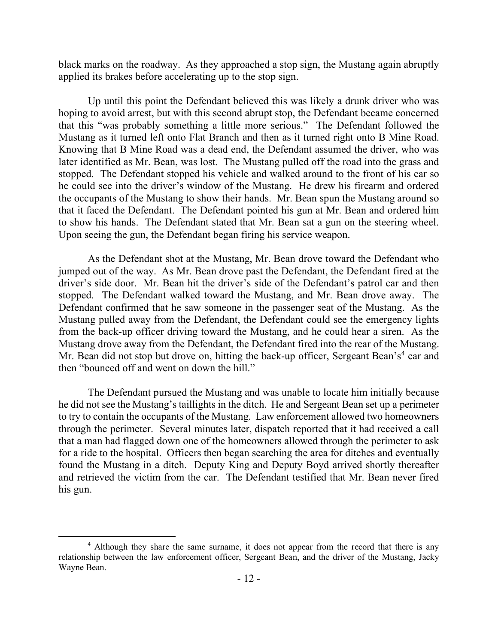black marks on the roadway. As they approached a stop sign, the Mustang again abruptly applied its brakes before accelerating up to the stop sign.

Up until this point the Defendant believed this was likely a drunk driver who was hoping to avoid arrest, but with this second abrupt stop, the Defendant became concerned that this "was probably something a little more serious." The Defendant followed the Mustang as it turned left onto Flat Branch and then as it turned right onto B Mine Road. Knowing that B Mine Road was a dead end, the Defendant assumed the driver, who was later identified as Mr. Bean, was lost. The Mustang pulled off the road into the grass and stopped. The Defendant stopped his vehicle and walked around to the front of his car so he could see into the driver's window of the Mustang. He drew his firearm and ordered the occupants of the Mustang to show their hands. Mr. Bean spun the Mustang around so that it faced the Defendant. The Defendant pointed his gun at Mr. Bean and ordered him to show his hands. The Defendant stated that Mr. Bean sat a gun on the steering wheel. Upon seeing the gun, the Defendant began firing his service weapon.

As the Defendant shot at the Mustang, Mr. Bean drove toward the Defendant who jumped out of the way. As Mr. Bean drove past the Defendant, the Defendant fired at the driver's side door. Mr. Bean hit the driver's side of the Defendant's patrol car and then stopped. The Defendant walked toward the Mustang, and Mr. Bean drove away. The Defendant confirmed that he saw someone in the passenger seat of the Mustang. As the Mustang pulled away from the Defendant, the Defendant could see the emergency lights from the back-up officer driving toward the Mustang, and he could hear a siren. As the Mustang drove away from the Defendant, the Defendant fired into the rear of the Mustang. Mr. Bean did not stop but drove on, hitting the back-up officer, Sergeant Bean's<sup>4</sup> car and then "bounced off and went on down the hill."

The Defendant pursued the Mustang and was unable to locate him initially because he did not see the Mustang's taillights in the ditch. He and Sergeant Bean set up a perimeter to try to contain the occupants of the Mustang. Law enforcement allowed two homeowners through the perimeter. Several minutes later, dispatch reported that it had received a call that a man had flagged down one of the homeowners allowed through the perimeter to ask for a ride to the hospital. Officers then began searching the area for ditches and eventually found the Mustang in a ditch. Deputy King and Deputy Boyd arrived shortly thereafter and retrieved the victim from the car. The Defendant testified that Mr. Bean never fired his gun.

<sup>&</sup>lt;sup>4</sup> Although they share the same surname, it does not appear from the record that there is any relationship between the law enforcement officer, Sergeant Bean, and the driver of the Mustang, Jacky Wayne Bean.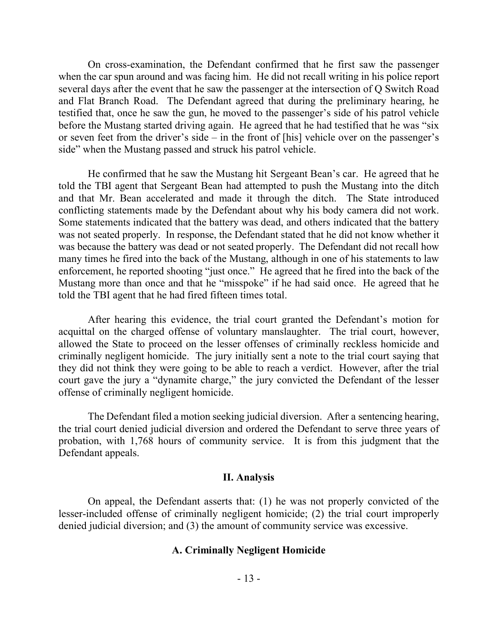On cross-examination, the Defendant confirmed that he first saw the passenger when the car spun around and was facing him. He did not recall writing in his police report several days after the event that he saw the passenger at the intersection of Q Switch Road and Flat Branch Road. The Defendant agreed that during the preliminary hearing, he testified that, once he saw the gun, he moved to the passenger's side of his patrol vehicle before the Mustang started driving again. He agreed that he had testified that he was "six or seven feet from the driver's side – in the front of [his] vehicle over on the passenger's side" when the Mustang passed and struck his patrol vehicle.

He confirmed that he saw the Mustang hit Sergeant Bean's car. He agreed that he told the TBI agent that Sergeant Bean had attempted to push the Mustang into the ditch and that Mr. Bean accelerated and made it through the ditch. The State introduced conflicting statements made by the Defendant about why his body camera did not work. Some statements indicated that the battery was dead, and others indicated that the battery was not seated properly. In response, the Defendant stated that he did not know whether it was because the battery was dead or not seated properly. The Defendant did not recall how many times he fired into the back of the Mustang, although in one of his statements to law enforcement, he reported shooting "just once." He agreed that he fired into the back of the Mustang more than once and that he "misspoke" if he had said once. He agreed that he told the TBI agent that he had fired fifteen times total.

After hearing this evidence, the trial court granted the Defendant's motion for acquittal on the charged offense of voluntary manslaughter. The trial court, however, allowed the State to proceed on the lesser offenses of criminally reckless homicide and criminally negligent homicide. The jury initially sent a note to the trial court saying that they did not think they were going to be able to reach a verdict. However, after the trial court gave the jury a "dynamite charge," the jury convicted the Defendant of the lesser offense of criminally negligent homicide.

The Defendant filed a motion seeking judicial diversion. After a sentencing hearing, the trial court denied judicial diversion and ordered the Defendant to serve three years of probation, with 1,768 hours of community service. It is from this judgment that the Defendant appeals.

### **II. Analysis**

On appeal, the Defendant asserts that: (1) he was not properly convicted of the lesser-included offense of criminally negligent homicide; (2) the trial court improperly denied judicial diversion; and (3) the amount of community service was excessive.

#### **A. Criminally Negligent Homicide**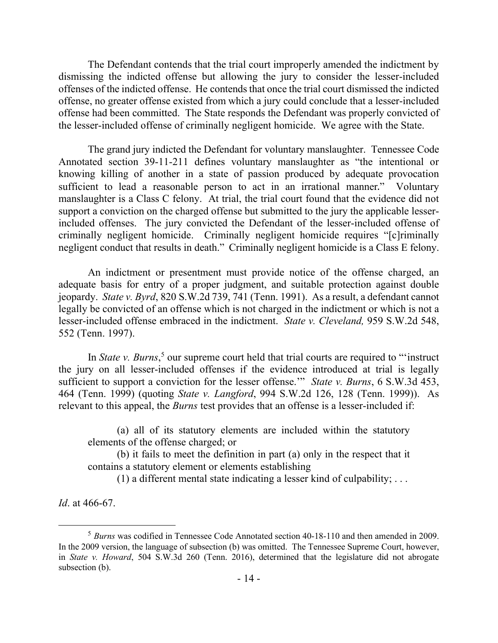The Defendant contends that the trial court improperly amended the indictment by dismissing the indicted offense but allowing the jury to consider the lesser-included offenses of the indicted offense. He contends that once the trial court dismissed the indicted offense, no greater offense existed from which a jury could conclude that a lesser-included offense had been committed. The State responds the Defendant was properly convicted of the lesser-included offense of criminally negligent homicide. We agree with the State.

The grand jury indicted the Defendant for voluntary manslaughter. Tennessee Code Annotated section 39-11-211 defines voluntary manslaughter as "the intentional or knowing killing of another in a state of passion produced by adequate provocation sufficient to lead a reasonable person to act in an irrational manner." Voluntary manslaughter is a Class C felony. At trial, the trial court found that the evidence did not support a conviction on the charged offense but submitted to the jury the applicable lesserincluded offenses. The jury convicted the Defendant of the lesser-included offense of criminally negligent homicide. Criminally negligent homicide requires "[c]riminally negligent conduct that results in death." Criminally negligent homicide is a Class E felony.

An indictment or presentment must provide notice of the offense charged, an adequate basis for entry of a proper judgment, and suitable protection against double jeopardy. *State v. Byrd*, 820 S.W.2d 739, 741 (Tenn. 1991). As a result, a defendant cannot legally be convicted of an offense which is not charged in the indictment or which is not a lesser-included offense embraced in the indictment. *State v. Cleveland,* 959 S.W.2d 548, 552 (Tenn. 1997).

In *State v. Burns*, <sup>5</sup> our supreme court held that trial courts are required to "'instruct the jury on all lesser-included offenses if the evidence introduced at trial is legally sufficient to support a conviction for the lesser offense.'" *State v. Burns*, 6 S.W.3d 453, 464 (Tenn. 1999) (quoting *State v. Langford*, 994 S.W.2d 126, 128 (Tenn. 1999)). As relevant to this appeal, the *Burns* test provides that an offense is a lesser-included if:

(a) all of its statutory elements are included within the statutory elements of the offense charged; or

(b) it fails to meet the definition in part (a) only in the respect that it contains a statutory element or elements establishing

(1) a different mental state indicating a lesser kind of culpability;  $\dots$ 

*Id*. at 466-67.

<sup>5</sup> *Burns* was codified in Tennessee Code Annotated section 40-18-110 and then amended in 2009. In the 2009 version, the language of subsection (b) was omitted. The Tennessee Supreme Court, however, in *State v. Howard*, 504 S.W.3d 260 (Tenn. 2016), determined that the legislature did not abrogate subsection (b).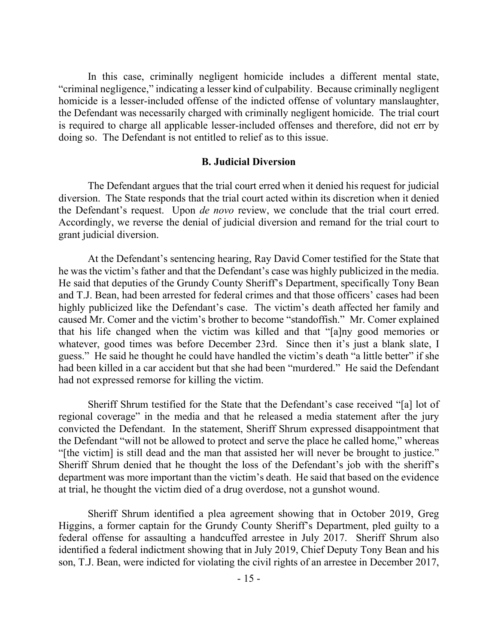In this case, criminally negligent homicide includes a different mental state, "criminal negligence," indicating a lesser kind of culpability. Because criminally negligent homicide is a lesser-included offense of the indicted offense of voluntary manslaughter, the Defendant was necessarily charged with criminally negligent homicide. The trial court is required to charge all applicable lesser-included offenses and therefore, did not err by doing so. The Defendant is not entitled to relief as to this issue.

#### **B. Judicial Diversion**

The Defendant argues that the trial court erred when it denied his request for judicial diversion. The State responds that the trial court acted within its discretion when it denied the Defendant's request. Upon *de novo* review, we conclude that the trial court erred. Accordingly, we reverse the denial of judicial diversion and remand for the trial court to grant judicial diversion.

At the Defendant's sentencing hearing, Ray David Comer testified for the State that he was the victim's father and that the Defendant's case was highly publicized in the media. He said that deputies of the Grundy County Sheriff's Department, specifically Tony Bean and T.J. Bean, had been arrested for federal crimes and that those officers' cases had been highly publicized like the Defendant's case. The victim's death affected her family and caused Mr. Comer and the victim's brother to become "standoffish." Mr. Comer explained that his life changed when the victim was killed and that "[a]ny good memories or whatever, good times was before December 23rd. Since then it's just a blank slate, I guess." He said he thought he could have handled the victim's death "a little better" if she had been killed in a car accident but that she had been "murdered." He said the Defendant had not expressed remorse for killing the victim.

Sheriff Shrum testified for the State that the Defendant's case received "[a] lot of regional coverage" in the media and that he released a media statement after the jury convicted the Defendant. In the statement, Sheriff Shrum expressed disappointment that the Defendant "will not be allowed to protect and serve the place he called home," whereas "[the victim] is still dead and the man that assisted her will never be brought to justice." Sheriff Shrum denied that he thought the loss of the Defendant's job with the sheriff's department was more important than the victim's death. He said that based on the evidence at trial, he thought the victim died of a drug overdose, not a gunshot wound.

Sheriff Shrum identified a plea agreement showing that in October 2019, Greg Higgins, a former captain for the Grundy County Sheriff's Department, pled guilty to a federal offense for assaulting a handcuffed arrestee in July 2017. Sheriff Shrum also identified a federal indictment showing that in July 2019, Chief Deputy Tony Bean and his son, T.J. Bean, were indicted for violating the civil rights of an arrestee in December 2017,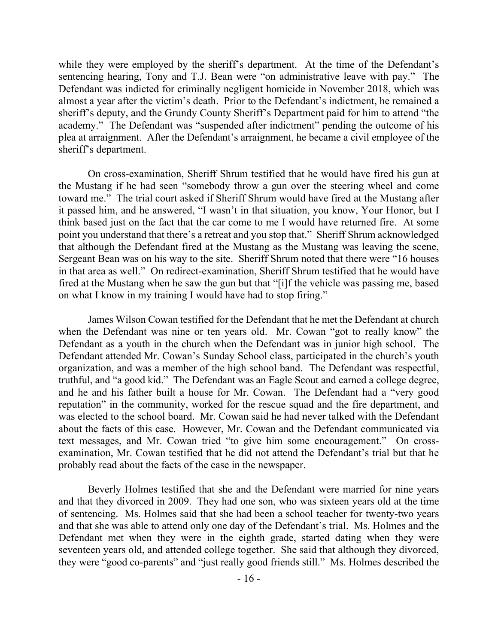while they were employed by the sheriff's department. At the time of the Defendant's sentencing hearing, Tony and T.J. Bean were "on administrative leave with pay." The Defendant was indicted for criminally negligent homicide in November 2018, which was almost a year after the victim's death. Prior to the Defendant's indictment, he remained a sheriff's deputy, and the Grundy County Sheriff's Department paid for him to attend "the academy." The Defendant was "suspended after indictment" pending the outcome of his plea at arraignment. After the Defendant's arraignment, he became a civil employee of the sheriff's department.

On cross-examination, Sheriff Shrum testified that he would have fired his gun at the Mustang if he had seen "somebody throw a gun over the steering wheel and come toward me." The trial court asked if Sheriff Shrum would have fired at the Mustang after it passed him, and he answered, "I wasn't in that situation, you know, Your Honor, but I think based just on the fact that the car come to me I would have returned fire. At some point you understand that there's a retreat and you stop that." Sheriff Shrum acknowledged that although the Defendant fired at the Mustang as the Mustang was leaving the scene, Sergeant Bean was on his way to the site. Sheriff Shrum noted that there were "16 houses in that area as well." On redirect-examination, Sheriff Shrum testified that he would have fired at the Mustang when he saw the gun but that "[i]f the vehicle was passing me, based on what I know in my training I would have had to stop firing."

James Wilson Cowan testified for the Defendant that he met the Defendant at church when the Defendant was nine or ten years old. Mr. Cowan "got to really know" the Defendant as a youth in the church when the Defendant was in junior high school. The Defendant attended Mr. Cowan's Sunday School class, participated in the church's youth organization, and was a member of the high school band. The Defendant was respectful, truthful, and "a good kid." The Defendant was an Eagle Scout and earned a college degree, and he and his father built a house for Mr. Cowan. The Defendant had a "very good reputation" in the community, worked for the rescue squad and the fire department, and was elected to the school board. Mr. Cowan said he had never talked with the Defendant about the facts of this case. However, Mr. Cowan and the Defendant communicated via text messages, and Mr. Cowan tried "to give him some encouragement." On crossexamination, Mr. Cowan testified that he did not attend the Defendant's trial but that he probably read about the facts of the case in the newspaper.

Beverly Holmes testified that she and the Defendant were married for nine years and that they divorced in 2009. They had one son, who was sixteen years old at the time of sentencing. Ms. Holmes said that she had been a school teacher for twenty-two years and that she was able to attend only one day of the Defendant's trial. Ms. Holmes and the Defendant met when they were in the eighth grade, started dating when they were seventeen years old, and attended college together. She said that although they divorced, they were "good co-parents" and "just really good friends still." Ms. Holmes described the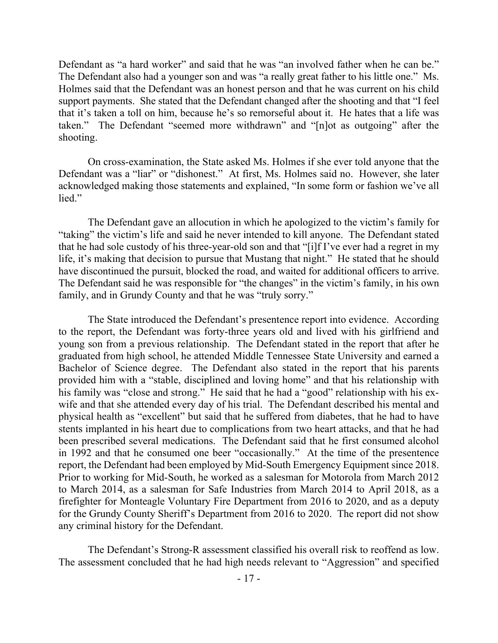Defendant as "a hard worker" and said that he was "an involved father when he can be." The Defendant also had a younger son and was "a really great father to his little one." Ms. Holmes said that the Defendant was an honest person and that he was current on his child support payments. She stated that the Defendant changed after the shooting and that "I feel that it's taken a toll on him, because he's so remorseful about it. He hates that a life was taken." The Defendant "seemed more withdrawn" and "[n]ot as outgoing" after the shooting.

On cross-examination, the State asked Ms. Holmes if she ever told anyone that the Defendant was a "liar" or "dishonest." At first, Ms. Holmes said no. However, she later acknowledged making those statements and explained, "In some form or fashion we've all lied."

The Defendant gave an allocution in which he apologized to the victim's family for "taking" the victim's life and said he never intended to kill anyone. The Defendant stated that he had sole custody of his three-year-old son and that "[i]f I've ever had a regret in my life, it's making that decision to pursue that Mustang that night." He stated that he should have discontinued the pursuit, blocked the road, and waited for additional officers to arrive. The Defendant said he was responsible for "the changes" in the victim's family, in his own family, and in Grundy County and that he was "truly sorry."

The State introduced the Defendant's presentence report into evidence. According to the report, the Defendant was forty-three years old and lived with his girlfriend and young son from a previous relationship. The Defendant stated in the report that after he graduated from high school, he attended Middle Tennessee State University and earned a Bachelor of Science degree. The Defendant also stated in the report that his parents provided him with a "stable, disciplined and loving home" and that his relationship with his family was "close and strong." He said that he had a "good" relationship with his exwife and that she attended every day of his trial. The Defendant described his mental and physical health as "excellent" but said that he suffered from diabetes, that he had to have stents implanted in his heart due to complications from two heart attacks, and that he had been prescribed several medications. The Defendant said that he first consumed alcohol in 1992 and that he consumed one beer "occasionally." At the time of the presentence report, the Defendant had been employed by Mid-South Emergency Equipment since 2018. Prior to working for Mid-South, he worked as a salesman for Motorola from March 2012 to March 2014, as a salesman for Safe Industries from March 2014 to April 2018, as a firefighter for Monteagle Voluntary Fire Department from 2016 to 2020, and as a deputy for the Grundy County Sheriff's Department from 2016 to 2020. The report did not show any criminal history for the Defendant.

The Defendant's Strong-R assessment classified his overall risk to reoffend as low. The assessment concluded that he had high needs relevant to "Aggression" and specified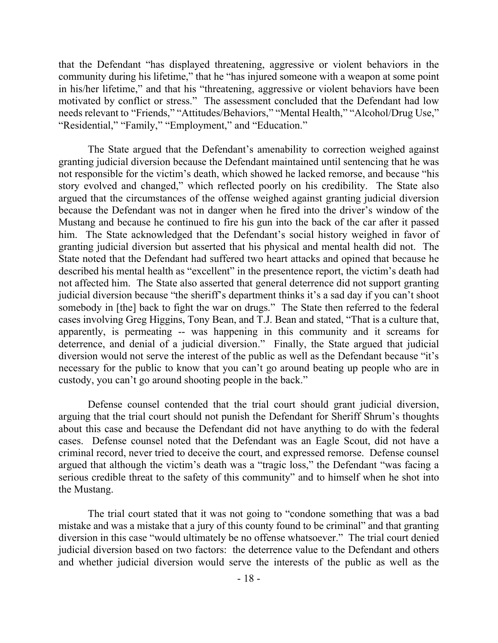that the Defendant "has displayed threatening, aggressive or violent behaviors in the community during his lifetime," that he "has injured someone with a weapon at some point in his/her lifetime," and that his "threatening, aggressive or violent behaviors have been motivated by conflict or stress." The assessment concluded that the Defendant had low needs relevant to "Friends," "Attitudes/Behaviors," "Mental Health," "Alcohol/Drug Use," "Residential," "Family," "Employment," and "Education."

The State argued that the Defendant's amenability to correction weighed against granting judicial diversion because the Defendant maintained until sentencing that he was not responsible for the victim's death, which showed he lacked remorse, and because "his story evolved and changed," which reflected poorly on his credibility. The State also argued that the circumstances of the offense weighed against granting judicial diversion because the Defendant was not in danger when he fired into the driver's window of the Mustang and because he continued to fire his gun into the back of the car after it passed him. The State acknowledged that the Defendant's social history weighed in favor of granting judicial diversion but asserted that his physical and mental health did not. The State noted that the Defendant had suffered two heart attacks and opined that because he described his mental health as "excellent" in the presentence report, the victim's death had not affected him. The State also asserted that general deterrence did not support granting judicial diversion because "the sheriff's department thinks it's a sad day if you can't shoot somebody in [the] back to fight the war on drugs." The State then referred to the federal cases involving Greg Higgins, Tony Bean, and T.J. Bean and stated, "That is a culture that, apparently, is permeating -- was happening in this community and it screams for deterrence, and denial of a judicial diversion." Finally, the State argued that judicial diversion would not serve the interest of the public as well as the Defendant because "it's necessary for the public to know that you can't go around beating up people who are in custody, you can't go around shooting people in the back."

Defense counsel contended that the trial court should grant judicial diversion, arguing that the trial court should not punish the Defendant for Sheriff Shrum's thoughts about this case and because the Defendant did not have anything to do with the federal cases. Defense counsel noted that the Defendant was an Eagle Scout, did not have a criminal record, never tried to deceive the court, and expressed remorse. Defense counsel argued that although the victim's death was a "tragic loss," the Defendant "was facing a serious credible threat to the safety of this community" and to himself when he shot into the Mustang.

The trial court stated that it was not going to "condone something that was a bad mistake and was a mistake that a jury of this county found to be criminal" and that granting diversion in this case "would ultimately be no offense whatsoever." The trial court denied judicial diversion based on two factors: the deterrence value to the Defendant and others and whether judicial diversion would serve the interests of the public as well as the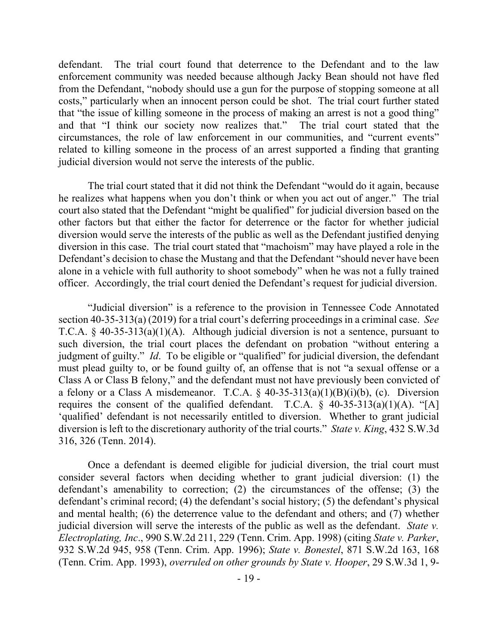defendant. The trial court found that deterrence to the Defendant and to the law enforcement community was needed because although Jacky Bean should not have fled from the Defendant, "nobody should use a gun for the purpose of stopping someone at all costs," particularly when an innocent person could be shot. The trial court further stated that "the issue of killing someone in the process of making an arrest is not a good thing" and that "I think our society now realizes that." The trial court stated that the circumstances, the role of law enforcement in our communities, and "current events" related to killing someone in the process of an arrest supported a finding that granting judicial diversion would not serve the interests of the public.

The trial court stated that it did not think the Defendant "would do it again, because he realizes what happens when you don't think or when you act out of anger." The trial court also stated that the Defendant "might be qualified" for judicial diversion based on the other factors but that either the factor for deterrence or the factor for whether judicial diversion would serve the interests of the public as well as the Defendant justified denying diversion in this case. The trial court stated that "machoism" may have played a role in the Defendant's decision to chase the Mustang and that the Defendant "should never have been alone in a vehicle with full authority to shoot somebody" when he was not a fully trained officer. Accordingly, the trial court denied the Defendant's request for judicial diversion.

"Judicial diversion" is a reference to the provision in Tennessee Code Annotated section 40-35-313(a) (2019) for a trial court's deferring proceedings in a criminal case. *See* T.C.A. § 40-35-313(a)(1)(A). Although judicial diversion is not a sentence, pursuant to such diversion, the trial court places the defendant on probation "without entering a judgment of guilty." *Id*. To be eligible or "qualified" for judicial diversion, the defendant must plead guilty to, or be found guilty of, an offense that is not "a sexual offense or a Class A or Class B felony," and the defendant must not have previously been convicted of a felony or a Class A misdemeanor. T.C.A.  $\S$  40-35-313(a)(1)(B)(i)(b), (c). Diversion requires the consent of the qualified defendant. T.C.A.  $\S$  40-35-313(a)(1)(A). "[A] 'qualified' defendant is not necessarily entitled to diversion. Whether to grant judicial diversion is left to the discretionary authority of the trial courts." *State v. King*, 432 S.W.3d 316, 326 (Tenn. 2014).

Once a defendant is deemed eligible for judicial diversion, the trial court must consider several factors when deciding whether to grant judicial diversion: (1) the defendant's amenability to correction; (2) the circumstances of the offense; (3) the defendant's criminal record; (4) the defendant's social history; (5) the defendant's physical and mental health; (6) the deterrence value to the defendant and others; and (7) whether judicial diversion will serve the interests of the public as well as the defendant. *State v. Electroplating, Inc*., 990 S.W.2d 211, 229 (Tenn. Crim. App. 1998) (citing *State v. Parker*, 932 S.W.2d 945, 958 (Tenn. Crim. App. 1996); *State v. Bonestel*, 871 S.W.2d 163, 168 (Tenn. Crim. App. 1993), *overruled on other grounds by State v. Hooper*, 29 S.W.3d 1, 9-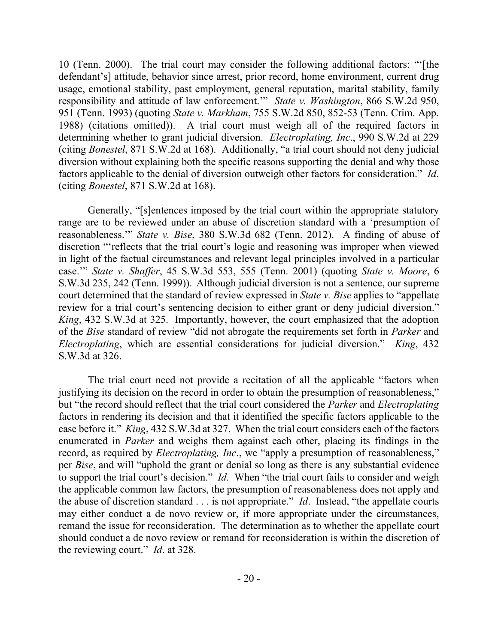10 (Tenn. 2000). The trial court may consider the following additional factors: "'[the defendant's] attitude, behavior since arrest, prior record, home environment, current drug usage, emotional stability, past employment, general reputation, marital stability, family responsibility and attitude of law enforcement.'" *State v. Washington*, 866 S.W.2d 950, 951 (Tenn. 1993) (quoting *State v. Markham*, 755 S.W.2d 850, 852-53 (Tenn. Crim. App. 1988) (citations omitted)). A trial court must weigh all of the required factors in determining whether to grant judicial diversion. *Electroplating, Inc*., 990 S.W.2d at 229 (citing *Bonestel*, 871 S.W.2d at 168). Additionally, "a trial court should not deny judicial diversion without explaining both the specific reasons supporting the denial and why those factors applicable to the denial of diversion outweigh other factors for consideration." *Id*. (citing *Bonestel*, 871 S.W.2d at 168).

Generally, "[s]entences imposed by the trial court within the appropriate statutory range are to be reviewed under an abuse of discretion standard with a 'presumption of reasonableness.'" *State v. Bise*, 380 S.W.3d 682 (Tenn. 2012). A finding of abuse of discretion "'reflects that the trial court's logic and reasoning was improper when viewed in light of the factual circumstances and relevant legal principles involved in a particular case.'" *State v. Shaffer*, 45 S.W.3d 553, 555 (Tenn. 2001) (quoting *State v. Moore*, 6 S.W.3d 235, 242 (Tenn. 1999)). Although judicial diversion is not a sentence, our supreme court determined that the standard of review expressed in *State v. Bise* applies to "appellate review for a trial court's sentencing decision to either grant or deny judicial diversion." *King*, 432 S.W.3d at 325. Importantly, however, the court emphasized that the adoption of the *Bise* standard of review "did not abrogate the requirements set forth in *Parker* and *Electroplating*, which are essential considerations for judicial diversion." *King*, 432 S.W.3d at 326.

The trial court need not provide a recitation of all the applicable "factors when justifying its decision on the record in order to obtain the presumption of reasonableness," but "the record should reflect that the trial court considered the *Parker* and *Electroplating* factors in rendering its decision and that it identified the specific factors applicable to the case before it." *King*, 432 S.W.3d at 327. When the trial court considers each of the factors enumerated in *Parker* and weighs them against each other, placing its findings in the record, as required by *Electroplating, Inc*., we "apply a presumption of reasonableness," per *Bise*, and will "uphold the grant or denial so long as there is any substantial evidence to support the trial court's decision." *Id*. When "the trial court fails to consider and weigh the applicable common law factors, the presumption of reasonableness does not apply and the abuse of discretion standard . . . is not appropriate." *Id*. Instead, "the appellate courts may either conduct a de novo review or, if more appropriate under the circumstances, remand the issue for reconsideration. The determination as to whether the appellate court should conduct a de novo review or remand for reconsideration is within the discretion of the reviewing court." *Id*. at 328.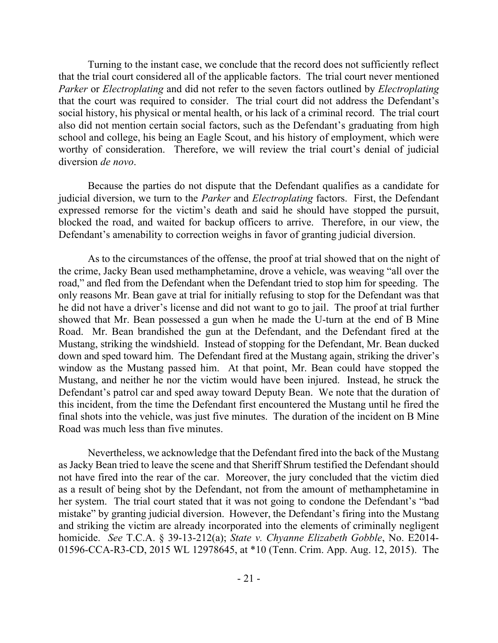Turning to the instant case, we conclude that the record does not sufficiently reflect that the trial court considered all of the applicable factors. The trial court never mentioned *Parker* or *Electroplating* and did not refer to the seven factors outlined by *Electroplating* that the court was required to consider. The trial court did not address the Defendant's social history, his physical or mental health, or his lack of a criminal record. The trial court also did not mention certain social factors, such as the Defendant's graduating from high school and college, his being an Eagle Scout, and his history of employment, which were worthy of consideration. Therefore, we will review the trial court's denial of judicial diversion *de novo*.

Because the parties do not dispute that the Defendant qualifies as a candidate for judicial diversion, we turn to the *Parker* and *Electroplating* factors. First, the Defendant expressed remorse for the victim's death and said he should have stopped the pursuit, blocked the road, and waited for backup officers to arrive. Therefore, in our view, the Defendant's amenability to correction weighs in favor of granting judicial diversion.

As to the circumstances of the offense, the proof at trial showed that on the night of the crime, Jacky Bean used methamphetamine, drove a vehicle, was weaving "all over the road," and fled from the Defendant when the Defendant tried to stop him for speeding. The only reasons Mr. Bean gave at trial for initially refusing to stop for the Defendant was that he did not have a driver's license and did not want to go to jail. The proof at trial further showed that Mr. Bean possessed a gun when he made the U-turn at the end of B Mine Road. Mr. Bean brandished the gun at the Defendant, and the Defendant fired at the Mustang, striking the windshield. Instead of stopping for the Defendant, Mr. Bean ducked down and sped toward him. The Defendant fired at the Mustang again, striking the driver's window as the Mustang passed him. At that point, Mr. Bean could have stopped the Mustang, and neither he nor the victim would have been injured. Instead, he struck the Defendant's patrol car and sped away toward Deputy Bean. We note that the duration of this incident, from the time the Defendant first encountered the Mustang until he fired the final shots into the vehicle, was just five minutes. The duration of the incident on B Mine Road was much less than five minutes.

Nevertheless, we acknowledge that the Defendant fired into the back of the Mustang as Jacky Bean tried to leave the scene and that Sheriff Shrum testified the Defendant should not have fired into the rear of the car. Moreover, the jury concluded that the victim died as a result of being shot by the Defendant, not from the amount of methamphetamine in her system. The trial court stated that it was not going to condone the Defendant's "bad mistake" by granting judicial diversion. However, the Defendant's firing into the Mustang and striking the victim are already incorporated into the elements of criminally negligent homicide. *See* T.C.A. § 39-13-212(a); *State v. Chyanne Elizabeth Gobble*, No. E2014- 01596-CCA-R3-CD, 2015 WL 12978645, at \*10 (Tenn. Crim. App. Aug. 12, 2015). The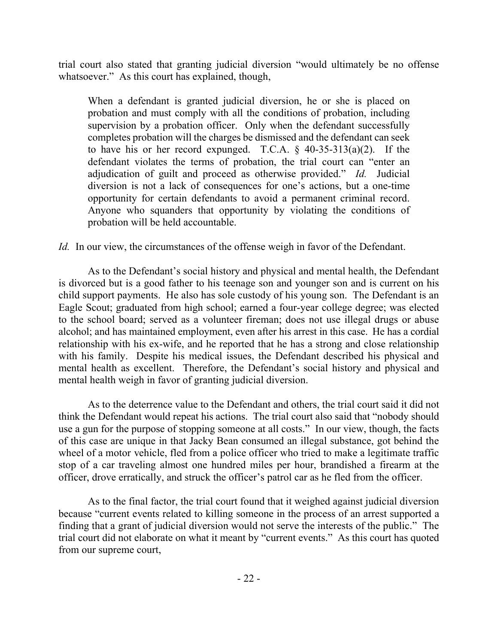trial court also stated that granting judicial diversion "would ultimately be no offense whatsoever." As this court has explained, though,

When a defendant is granted judicial diversion, he or she is placed on probation and must comply with all the conditions of probation, including supervision by a probation officer. Only when the defendant successfully completes probation will the charges be dismissed and the defendant can seek to have his or her record expunged. T.C.A.  $\S$  40-35-313(a)(2). If the defendant violates the terms of probation, the trial court can "enter an adjudication of guilt and proceed as otherwise provided." *Id.* Judicial diversion is not a lack of consequences for one's actions, but a one-time opportunity for certain defendants to avoid a permanent criminal record. Anyone who squanders that opportunity by violating the conditions of probation will be held accountable.

*Id.* In our view, the circumstances of the offense weigh in favor of the Defendant.

As to the Defendant's social history and physical and mental health, the Defendant is divorced but is a good father to his teenage son and younger son and is current on his child support payments. He also has sole custody of his young son. The Defendant is an Eagle Scout; graduated from high school; earned a four-year college degree; was elected to the school board; served as a volunteer fireman; does not use illegal drugs or abuse alcohol; and has maintained employment, even after his arrest in this case. He has a cordial relationship with his ex-wife, and he reported that he has a strong and close relationship with his family. Despite his medical issues, the Defendant described his physical and mental health as excellent. Therefore, the Defendant's social history and physical and mental health weigh in favor of granting judicial diversion.

As to the deterrence value to the Defendant and others, the trial court said it did not think the Defendant would repeat his actions. The trial court also said that "nobody should use a gun for the purpose of stopping someone at all costs." In our view, though, the facts of this case are unique in that Jacky Bean consumed an illegal substance, got behind the wheel of a motor vehicle, fled from a police officer who tried to make a legitimate traffic stop of a car traveling almost one hundred miles per hour, brandished a firearm at the officer, drove erratically, and struck the officer's patrol car as he fled from the officer.

As to the final factor, the trial court found that it weighed against judicial diversion because "current events related to killing someone in the process of an arrest supported a finding that a grant of judicial diversion would not serve the interests of the public." The trial court did not elaborate on what it meant by "current events." As this court has quoted from our supreme court,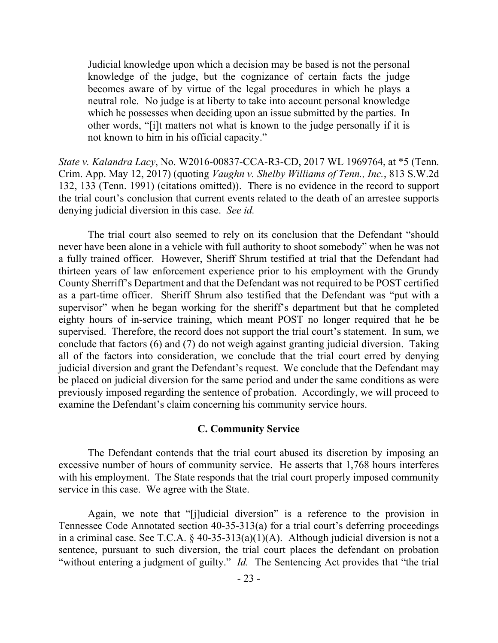Judicial knowledge upon which a decision may be based is not the personal knowledge of the judge, but the cognizance of certain facts the judge becomes aware of by virtue of the legal procedures in which he plays a neutral role. No judge is at liberty to take into account personal knowledge which he possesses when deciding upon an issue submitted by the parties. In other words, "[i]t matters not what is known to the judge personally if it is not known to him in his official capacity."

*State v. Kalandra Lacy*, No. W2016-00837-CCA-R3-CD, 2017 WL 1969764, at \*5 (Tenn. Crim. App. May 12, 2017) (quoting *Vaughn v. Shelby Williams of Tenn., Inc.*, 813 S.W.2d 132, 133 (Tenn. 1991) (citations omitted)). There is no evidence in the record to support the trial court's conclusion that current events related to the death of an arrestee supports denying judicial diversion in this case. *See id.*

The trial court also seemed to rely on its conclusion that the Defendant "should never have been alone in a vehicle with full authority to shoot somebody" when he was not a fully trained officer. However, Sheriff Shrum testified at trial that the Defendant had thirteen years of law enforcement experience prior to his employment with the Grundy County Sherriff's Department and that the Defendant was not required to be POST certified as a part-time officer. Sheriff Shrum also testified that the Defendant was "put with a supervisor" when he began working for the sheriff's department but that he completed eighty hours of in-service training, which meant POST no longer required that he be supervised. Therefore, the record does not support the trial court's statement. In sum, we conclude that factors (6) and (7) do not weigh against granting judicial diversion. Taking all of the factors into consideration, we conclude that the trial court erred by denying judicial diversion and grant the Defendant's request. We conclude that the Defendant may be placed on judicial diversion for the same period and under the same conditions as were previously imposed regarding the sentence of probation. Accordingly, we will proceed to examine the Defendant's claim concerning his community service hours.

### **C. Community Service**

The Defendant contends that the trial court abused its discretion by imposing an excessive number of hours of community service. He asserts that 1,768 hours interferes with his employment. The State responds that the trial court properly imposed community service in this case. We agree with the State.

Again, we note that "[j]udicial diversion" is a reference to the provision in Tennessee Code Annotated section 40-35-313(a) for a trial court's deferring proceedings in a criminal case. See T.C.A.  $\S$  40-35-313(a)(1)(A). Although judicial diversion is not a sentence, pursuant to such diversion, the trial court places the defendant on probation "without entering a judgment of guilty." *Id.* The Sentencing Act provides that "the trial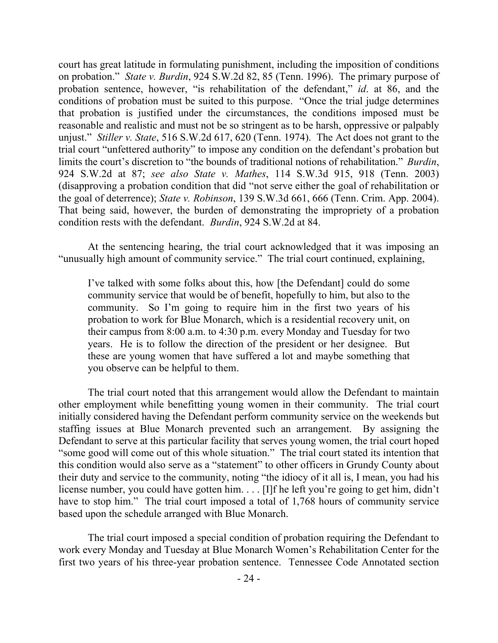court has great latitude in formulating punishment, including the imposition of conditions on probation." *State v. Burdin*, 924 S.W.2d 82, 85 (Tenn. 1996). The primary purpose of probation sentence, however, "is rehabilitation of the defendant," *id*. at 86, and the conditions of probation must be suited to this purpose. "Once the trial judge determines that probation is justified under the circumstances, the conditions imposed must be reasonable and realistic and must not be so stringent as to be harsh, oppressive or palpably unjust." *Stiller v. State*, 516 S.W.2d 617, 620 (Tenn. 1974). The Act does not grant to the trial court "unfettered authority" to impose any condition on the defendant's probation but limits the court's discretion to "the bounds of traditional notions of rehabilitation." *Burdin*, 924 S.W.2d at 87; *see also State v. Mathes*, 114 S.W.3d 915, 918 (Tenn. 2003) (disapproving a probation condition that did "not serve either the goal of rehabilitation or the goal of deterrence); *State v. Robinson*, 139 S.W.3d 661, 666 (Tenn. Crim. App. 2004). That being said, however, the burden of demonstrating the impropriety of a probation condition rests with the defendant. *Burdin*, 924 S.W.2d at 84.

At the sentencing hearing, the trial court acknowledged that it was imposing an "unusually high amount of community service." The trial court continued, explaining,

I've talked with some folks about this, how [the Defendant] could do some community service that would be of benefit, hopefully to him, but also to the community. So I'm going to require him in the first two years of his probation to work for Blue Monarch, which is a residential recovery unit, on their campus from 8:00 a.m. to 4:30 p.m. every Monday and Tuesday for two years. He is to follow the direction of the president or her designee. But these are young women that have suffered a lot and maybe something that you observe can be helpful to them.

The trial court noted that this arrangement would allow the Defendant to maintain other employment while benefitting young women in their community. The trial court initially considered having the Defendant perform community service on the weekends but staffing issues at Blue Monarch prevented such an arrangement. By assigning the Defendant to serve at this particular facility that serves young women, the trial court hoped "some good will come out of this whole situation." The trial court stated its intention that this condition would also serve as a "statement" to other officers in Grundy County about their duty and service to the community, noting "the idiocy of it all is, I mean, you had his license number, you could have gotten him. . . . [I]f he left you're going to get him, didn't have to stop him." The trial court imposed a total of 1,768 hours of community service based upon the schedule arranged with Blue Monarch.

The trial court imposed a special condition of probation requiring the Defendant to work every Monday and Tuesday at Blue Monarch Women's Rehabilitation Center for the first two years of his three-year probation sentence. Tennessee Code Annotated section